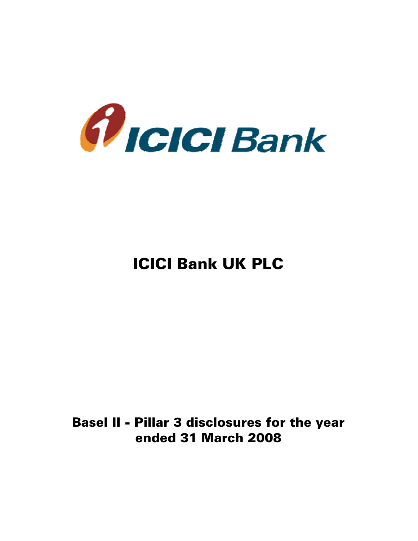

# ICICI Bank UK PLC

# Basel II - Pillar 3 disclosures for the year ended 31 March 2008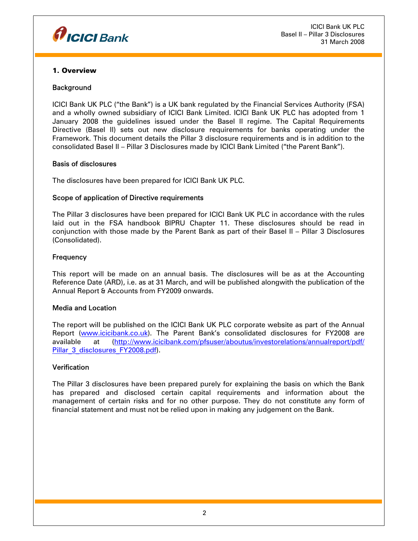

ICICI Bank UK PLC Basel II – Pillar 3 Disclosures 31 March 2008

#### 1. Overview

#### **Background**

ICICI Bank UK PLC ("the Bank") is a UK bank regulated by the Financial Services Authority (FSA) and a wholly owned subsidiary of ICICI Bank Limited. ICICI Bank UK PLC has adopted from 1 January 2008 the guidelines issued under the Basel II regime. The Capital Requirements Directive (Basel II) sets out new disclosure requirements for banks operating under the Framework. This document details the Pillar 3 disclosure requirements and is in addition to the consolidated Basel II – Pillar 3 Disclosures made by ICICI Bank Limited ("the Parent Bank").

#### Basis of disclosures

The disclosures have been prepared for ICICI Bank UK PLC.

#### Scope of application of Directive requirements

The Pillar 3 disclosures have been prepared for ICICI Bank UK PLC in accordance with the rules laid out in the FSA handbook BIPRU Chapter 11. These disclosures should be read in conjunction with those made by the Parent Bank as part of their Basel II – Pillar 3 Disclosures (Consolidated).

#### **Frequency**

This report will be made on an annual basis. The disclosures will be as at the Accounting Reference Date (ARD), i.e. as at 31 March, and will be published alongwith the publication of the Annual Report & Accounts from FY2009 onwards.

#### Media and Location

The report will be published on the ICICI Bank UK PLC corporate website as part of the Annual Report (www.icicibank.co.uk). The Parent Bank's consolidated disclosures for FY2008 are available at (http://www.icicibank.com/pfsuser/aboutus/investorelations/annualreport/pdf/ Pillar\_3\_disclosures\_FY2008.pdf).

# **Verification**

The Pillar 3 disclosures have been prepared purely for explaining the basis on which the Bank has prepared and disclosed certain capital requirements and information about the management of certain risks and for no other purpose. They do not constitute any form of financial statement and must not be relied upon in making any judgement on the Bank.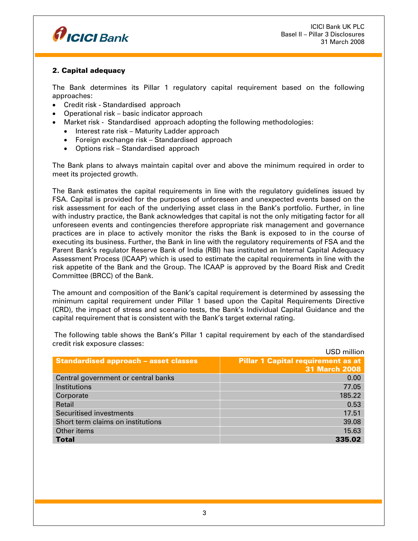

ICICI Bank UK PLC Basel II – Pillar 3 Disclosures 31 March 2008

# 2. Capital adequacy

The Bank determines its Pillar 1 regulatory capital requirement based on the following approaches:

- Credit risk Standardised approach
- Operational risk basic indicator approach
- Market risk Standardised approach adopting the following methodologies:
	- Interest rate risk Maturity Ladder approach
	- Foreign exchange risk Standardised approach
	- Options risk Standardised approach

The Bank plans to always maintain capital over and above the minimum required in order to meet its projected growth.

The Bank estimates the capital requirements in line with the regulatory guidelines issued by FSA. Capital is provided for the purposes of unforeseen and unexpected events based on the risk assessment for each of the underlying asset class in the Bank's portfolio. Further, in line with industry practice, the Bank acknowledges that capital is not the only mitigating factor for all unforeseen events and contingencies therefore appropriate risk management and governance practices are in place to actively monitor the risks the Bank is exposed to in the course of executing its business. Further, the Bank in line with the regulatory requirements of FSA and the Parent Bank's regulator Reserve Bank of India (RBI) has instituted an Internal Capital Adequacy Assessment Process (ICAAP) which is used to estimate the capital requirements in line with the risk appetite of the Bank and the Group. The ICAAP is approved by the Board Risk and Credit Committee (BRCC) of the Bank.

The amount and composition of the Bank's capital requirement is determined by assessing the minimum capital requirement under Pillar 1 based upon the Capital Requirements Directive (CRD), the impact of stress and scenario tests, the Bank's Individual Capital Guidance and the capital requirement that is consistent with the Bank's target external rating.

|                                              | <b>USD</b> million                        |
|----------------------------------------------|-------------------------------------------|
| <b>Standardised approach - asset classes</b> | <b>Pillar 1 Capital requirement as at</b> |
|                                              | <b>31 March 2008</b>                      |
| Central government or central banks          | 0.00                                      |
| <b>Institutions</b>                          | 77.05                                     |
| Corporate                                    | 185.22                                    |
| Retail                                       | 0.53                                      |
| <b>Securitised investments</b>               | 17.51                                     |
| Short term claims on institutions            | 39.08                                     |
| Other items                                  | 15.63                                     |
| <b>Total</b>                                 | 335.02                                    |

 The following table shows the Bank's Pillar 1 capital requirement by each of the standardised credit risk exposure classes: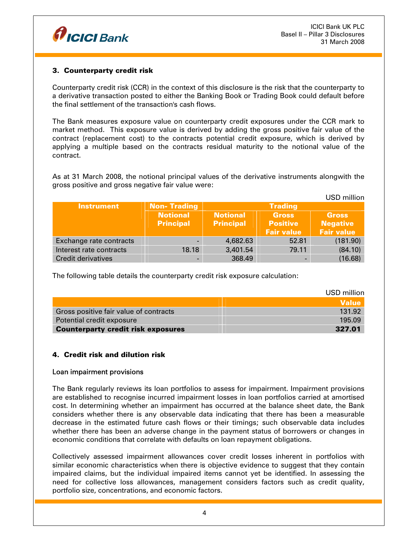

 $UCD = UU \cdot u$ 

# 3. Counterparty credit risk

Counterparty credit risk (CCR) in the context of this disclosure is the risk that the counterparty to a derivative transaction posted to either the Banking Book or Trading Book could default before the final settlement of the transaction's cash flows.

The Bank measures exposure value on counterparty credit exposures under the CCR mark to market method. This exposure value is derived by adding the gross positive fair value of the contract (replacement cost) to the contracts potential credit exposure, which is derived by applying a multiple based on the contracts residual maturity to the notional value of the contract.

As at 31 March 2008, the notional principal values of the derivative instruments alongwith the gross positive and gross negative fair value were:

|                           |                    |                  |                   | <b>USD MINON</b>  |
|---------------------------|--------------------|------------------|-------------------|-------------------|
| <b>Instrument</b>         | <b>Non-Trading</b> |                  | <b>Trading</b>    |                   |
|                           | <b>Notional</b>    | <b>Notional</b>  | <b>Gross</b>      | <b>Gross</b>      |
|                           | <b>Principal</b>   | <b>Principal</b> | <b>Positive</b>   | <b>Negative</b>   |
|                           |                    |                  | <b>Fair value</b> | <b>Fair value</b> |
| Exchange rate contracts   |                    | 4,682.63         | 52.81             | (181.90)          |
| Interest rate contracts   | 18.18              | 3,401.54         | 79.11             | (84.10)           |
| <b>Credit derivatives</b> |                    | 368.49           |                   | (16.68)           |

The following table details the counterparty credit risk exposure calculation:

|                                           | USD million  |
|-------------------------------------------|--------------|
|                                           | <b>Value</b> |
| Gross positive fair value of contracts    | 131.92       |
| Potential credit exposure                 | 195.09       |
| <b>Counterparty credit risk exposures</b> | 327.01       |

# 4. Credit risk and dilution risk

# Loan impairment provisions

The Bank regularly reviews its loan portfolios to assess for impairment. Impairment provisions are established to recognise incurred impairment losses in loan portfolios carried at amortised cost. In determining whether an impairment has occurred at the balance sheet date, the Bank considers whether there is any observable data indicating that there has been a measurable decrease in the estimated future cash flows or their timings; such observable data includes whether there has been an adverse change in the payment status of borrowers or changes in economic conditions that correlate with defaults on loan repayment obligations.

Collectively assessed impairment allowances cover credit losses inherent in portfolios with similar economic characteristics when there is objective evidence to suggest that they contain impaired claims, but the individual impaired items cannot yet be identified. In assessing the need for collective loss allowances, management considers factors such as credit quality, portfolio size, concentrations, and economic factors.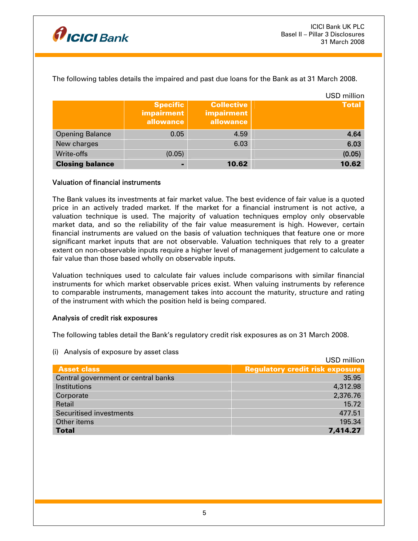

|                        |                                                   |                                              | <b>USD</b> million |
|------------------------|---------------------------------------------------|----------------------------------------------|--------------------|
|                        | <b>Specific</b><br><b>impairment</b><br>allowance | <b>Collective</b><br>impairment<br>allowance | <b>Total</b>       |
| <b>Opening Balance</b> | 0.05                                              | 4.59                                         | 4.64               |
| New charges            |                                                   | 6.03                                         | 6.03               |
| Write-offs             | (0.05)                                            |                                              | (0.05)             |
| <b>Closing balance</b> |                                                   | 10.62                                        | 10.62              |

The following tables details the impaired and past due loans for the Bank as at 31 March 2008.

# Valuation of financial instruments

The Bank values its investments at fair market value. The best evidence of fair value is a quoted price in an actively traded market. If the market for a financial instrument is not active, a valuation technique is used. The majority of valuation techniques employ only observable market data, and so the reliability of the fair value measurement is high. However, certain financial instruments are valued on the basis of valuation techniques that feature one or more significant market inputs that are not observable. Valuation techniques that rely to a greater extent on non-observable inputs require a higher level of management judgement to calculate a fair value than those based wholly on observable inputs.

Valuation techniques used to calculate fair values include comparisons with similar financial instruments for which market observable prices exist. When valuing instruments by reference to comparable instruments, management takes into account the maturity, structure and rating of the instrument with which the position held is being compared.

#### Analysis of credit risk exposures

The following tables detail the Bank's regulatory credit risk exposures as on 31 March 2008.

(i) Analysis of exposure by asset class

|                                     | USD million                            |
|-------------------------------------|----------------------------------------|
| <b>Asset class</b>                  | <b>Regulatory credit risk exposure</b> |
| Central government or central banks | 35.95                                  |
| Institutions                        | 4,312.98                               |
| Corporate                           | 2,376.76                               |
| Retail                              | 15.72                                  |
| <b>Securitised investments</b>      | 477.51                                 |
| Other items                         | 195.34                                 |
| <b>Total</b>                        | 7,414.27                               |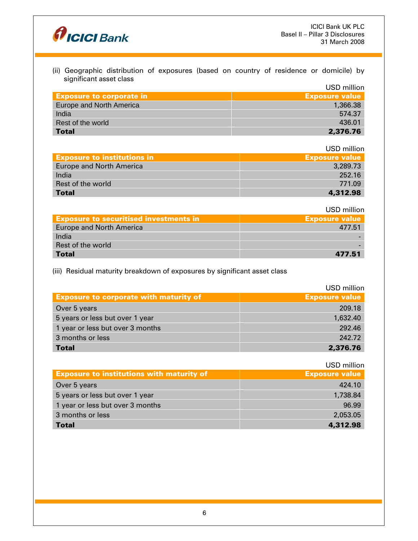

(ii) Geographic distribution of exposures (based on country of residence or domicile) by significant asset class  $UCD$  million

|                                 | USD MIIIION           |
|---------------------------------|-----------------------|
| <b>Exposure to corporate in</b> | <b>Exposure value</b> |
| Europe and North America        | 1,366,38              |
| India                           | 574.37                |
| Rest of the world               | 436.01                |
| <b>Total</b>                    | 2,376.76              |

USD million

| <b>Exposure to institutions in</b> | <b>Exposure value</b> |
|------------------------------------|-----------------------|
| <b>Europe and North America</b>    | 3,289.73              |
| India                              | 252.16                |
| Rest of the world                  | 771.09                |
| <b>Total</b>                       | 4.312.98              |

USD million

| <b>Exposure to securitised investments in</b> | <b>Exposure value</b> |
|-----------------------------------------------|-----------------------|
| <b>Europe and North America</b>               | 477.51                |
| India                                         |                       |
| Rest of the world                             |                       |
| <b>Total</b>                                  | 477.51                |

(iii) Residual maturity breakdown of exposures by significant asset class

|                                               | USD million           |
|-----------------------------------------------|-----------------------|
| <b>Exposure to corporate with maturity of</b> | <b>Exposure value</b> |
| Over 5 years                                  | 209.18                |
| 5 years or less but over 1 year               | 1,632.40              |
| 1 year or less but over 3 months              | 292.46                |
| 3 months or less                              | 242.72                |
| <b>Total</b>                                  | 2,376.76              |

|                                                  | USD million           |
|--------------------------------------------------|-----------------------|
| <b>Exposure to institutions with maturity of</b> | <b>Exposure value</b> |
| Over 5 years                                     | 424.10                |
| 5 years or less but over 1 year                  | 1,738.84              |
| 1 year or less but over 3 months                 | 96.99                 |
| 3 months or less                                 | 2,053.05              |
| <b>Total</b>                                     | 4,312.98              |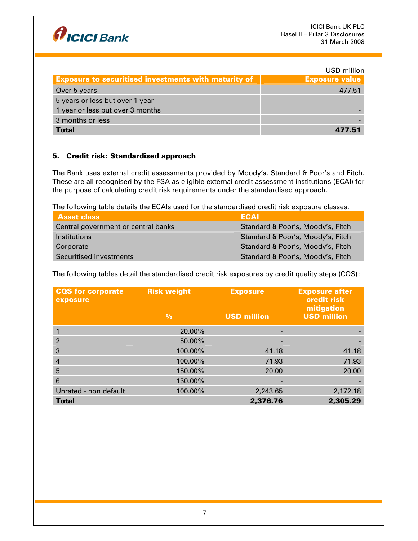

|                                                             | USD million           |
|-------------------------------------------------------------|-----------------------|
| <b>Exposure to securitised investments with maturity of</b> | <b>Exposure value</b> |
| Over 5 years                                                | 477.51                |
| 5 years or less but over 1 year                             |                       |
| 1 year or less but over 3 months                            |                       |
| 3 months or less                                            |                       |
| <b>Total</b>                                                | 477.51                |

# 5. Credit risk: Standardised approach

The Bank uses external credit assessments provided by Moody's, Standard & Poor's and Fitch. These are all recognised by the FSA as eligible external credit assessment institutions (ECAI) for the purpose of calculating credit risk requirements under the standardised approach.

The following table details the ECAIs used for the standardised credit risk exposure classes.

| <b>Asset class</b>                  | <b>ECAI</b>                       |
|-------------------------------------|-----------------------------------|
| Central government or central banks | Standard & Poor's, Moody's, Fitch |
| <i>Institutions</i>                 | Standard & Poor's, Moody's, Fitch |
| Corporate                           | Standard & Poor's, Moody's, Fitch |
| Securitised investments             | Standard & Poor's, Moody's, Fitch |

The following tables detail the standardised credit risk exposures by credit quality steps (CQS):

| <b>CQS</b> for corporate<br>exposure | <b>Risk weight</b><br>$\frac{9}{6}$ | <b>Exposure</b><br><b>USD million</b> | <b>Exposure after</b><br>credit risk<br>mitigation<br><b>USD million</b> |
|--------------------------------------|-------------------------------------|---------------------------------------|--------------------------------------------------------------------------|
|                                      | 20.00%                              |                                       |                                                                          |
| $\overline{2}$                       | 50.00%                              |                                       |                                                                          |
| 3                                    | 100.00%                             | 41.18                                 | 41.18                                                                    |
| 4                                    | 100.00%                             | 71.93                                 | 71.93                                                                    |
| 5                                    | 150.00%                             | 20.00                                 | 20,00                                                                    |
| 6                                    | 150.00%                             |                                       |                                                                          |
| Unrated - non default                | 100.00%                             | 2,243.65                              | 2,172.18                                                                 |
| <b>Total</b>                         |                                     | 2,376.76                              | 2,305.29                                                                 |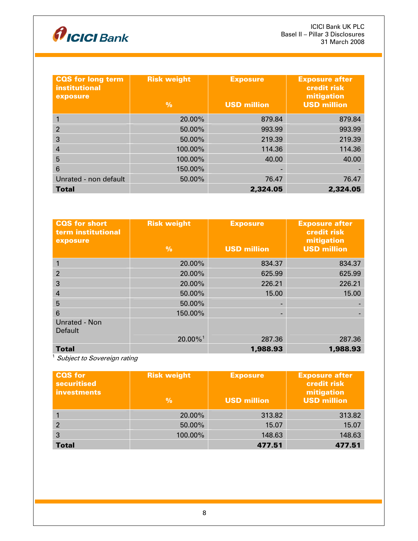

| <b>CQS</b> for long term<br>institutional<br>exposure | <b>Risk weight</b><br>$\frac{9}{6}$ | <b>Exposure</b><br><b>USD million</b> | <b>Exposure after</b><br>credit risk<br>mitigation<br><b>USD million</b> |
|-------------------------------------------------------|-------------------------------------|---------------------------------------|--------------------------------------------------------------------------|
|                                                       | 20.00%                              | 879.84                                | 879.84                                                                   |
| 2                                                     | 50.00%                              | 993.99                                | 993.99                                                                   |
| 3                                                     | 50.00%                              | 219.39                                | 219.39                                                                   |
| $\overline{4}$                                        | 100.00%                             | 114.36                                | 114.36                                                                   |
| 5                                                     | 100.00%                             | 40.00                                 | 40.00                                                                    |
| 6                                                     | 150.00%                             |                                       |                                                                          |
| Unrated - non default                                 | 50.00%                              | 76.47                                 | 76.47                                                                    |
| <b>Total</b>                                          |                                     | 2,324.05                              | 2,324.05                                                                 |

| <b>CQS</b> for short<br>term institutional<br>exposure | <b>Risk weight</b><br>$\frac{0}{0}$ | <b>Exposure</b><br><b>USD million</b> | <b>Exposure after</b><br>credit risk<br>mitigation<br><b>USD million</b> |
|--------------------------------------------------------|-------------------------------------|---------------------------------------|--------------------------------------------------------------------------|
|                                                        | 20.00%                              | 834.37                                | 834.37                                                                   |
| $\overline{2}$                                         | 20.00%                              | 625.99                                | 625.99                                                                   |
| 3                                                      | 20.00%                              | 226.21                                | 226.21                                                                   |
| 4                                                      | 50.00%                              | 15.00                                 | 15.00                                                                    |
| 5                                                      | 50.00%                              |                                       |                                                                          |
| 6                                                      | 150.00%                             |                                       |                                                                          |
| <b>Unrated - Non</b><br><b>Default</b>                 | $20.00\%$ <sup>1</sup>              | 287.36                                | 287.36                                                                   |
| <b>Total</b>                                           |                                     | 1,988.93                              | 1,988.93                                                                 |

 $\frac{1}{1}$  Subject to Sovereign rating

| <b>CQS</b> for<br><b>securitised</b><br><b>investments</b> | <b>Risk weight</b><br>$\frac{9}{6}$ | <b>Exposure</b><br><b>USD million</b> | <b>Exposure after</b><br><b>credit risk</b><br>mitigation<br><b>USD million</b> |
|------------------------------------------------------------|-------------------------------------|---------------------------------------|---------------------------------------------------------------------------------|
|                                                            | 20.00%                              | 313.82                                | 313.82                                                                          |
| 2                                                          | 50.00%                              | 15.07                                 | 15.07                                                                           |
| 3                                                          | 100.00%                             | 148.63                                | 148.63                                                                          |
| <b>Total</b>                                               |                                     | 477.51                                | 477.51                                                                          |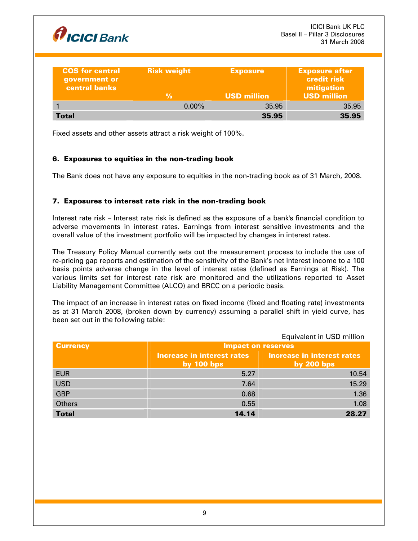

| <b>CQS</b> for central<br>government or<br><b>central banks</b> | <b>Risk weight</b> | <b>Exposure</b>    | <b>Exposure after</b><br><b>credit risk</b><br>mitigation |
|-----------------------------------------------------------------|--------------------|--------------------|-----------------------------------------------------------|
|                                                                 | %                  | <b>USD million</b> | <b>USD million</b>                                        |
|                                                                 | $0.00\%$           | 35.95              | 35.95                                                     |
| Total                                                           |                    | 35.95              | 35.95                                                     |

Fixed assets and other assets attract a risk weight of 100%.

# 6. Exposures to equities in the non-trading book

The Bank does not have any exposure to equities in the non-trading book as of 31 March, 2008.

# 7. Exposures to interest rate risk in the non-trading book

Interest rate risk – Interest rate risk is defined as the exposure of a bank's financial condition to adverse movements in interest rates. Earnings from interest sensitive investments and the overall value of the investment portfolio will be impacted by changes in interest rates.

The Treasury Policy Manual currently sets out the measurement process to include the use of re-pricing gap reports and estimation of the sensitivity of the Bank's net interest income to a 100 basis points adverse change in the level of interest rates (defined as Earnings at Risk). The various limits set for interest rate risk are monitored and the utilizations reported to Asset Liability Management Committee (ALCO) and BRCC on a periodic basis.

The impact of an increase in interest rates on fixed income (fixed and floating rate) investments as at 31 March 2008, (broken down by currency) assuming a parallel shift in yield curve, has been set out in the following table:

|                 | Equivalent in USD million                         |                                            |
|-----------------|---------------------------------------------------|--------------------------------------------|
| <b>Currency</b> | <b>Impact on reserves</b>                         |                                            |
|                 | <b>Increase in interest rates</b><br>by $100$ bps | Increase in interest rates<br>by $200$ bps |
| <b>EUR</b>      | 5.27                                              | 10.54                                      |
| <b>USD</b>      | 7.64                                              | 15.29                                      |
| <b>GBP</b>      | 0.68                                              | 1.36                                       |
| <b>Others</b>   | 0.55                                              | 1.08                                       |
| <b>Total</b>    | 14.14                                             | 28.27                                      |